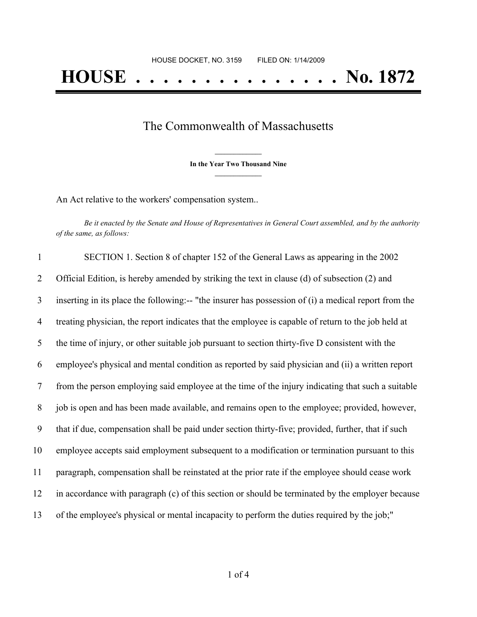## The Commonwealth of Massachusetts

**\_\_\_\_\_\_\_\_\_\_\_\_\_\_\_ In the Year Two Thousand Nine \_\_\_\_\_\_\_\_\_\_\_\_\_\_\_**

An Act relative to the workers' compensation system..

Be it enacted by the Senate and House of Representatives in General Court assembled, and by the authority *of the same, as follows:*

| $\mathbf{1}$   | SECTION 1. Section 8 of chapter 152 of the General Laws as appearing in the 2002                     |
|----------------|------------------------------------------------------------------------------------------------------|
| $\overline{2}$ | Official Edition, is hereby amended by striking the text in clause (d) of subsection (2) and         |
| 3              | inserting in its place the following:-- "the insurer has possession of (i) a medical report from the |
| 4              | treating physician, the report indicates that the employee is capable of return to the job held at   |
| 5              | the time of injury, or other suitable job pursuant to section thirty-five D consistent with the      |
| 6              | employee's physical and mental condition as reported by said physician and (ii) a written report     |
| 7              | from the person employing said employee at the time of the injury indicating that such a suitable    |
| 8              | job is open and has been made available, and remains open to the employee; provided, however,        |
| 9              | that if due, compensation shall be paid under section thirty-five; provided, further, that if such   |
| 10             | employee accepts said employment subsequent to a modification or termination pursuant to this        |
| 11             | paragraph, compensation shall be reinstated at the prior rate if the employee should cease work      |
| 12             | in accordance with paragraph (c) of this section or should be terminated by the employer because     |
| 13             | of the employee's physical or mental incapacity to perform the duties required by the job;"          |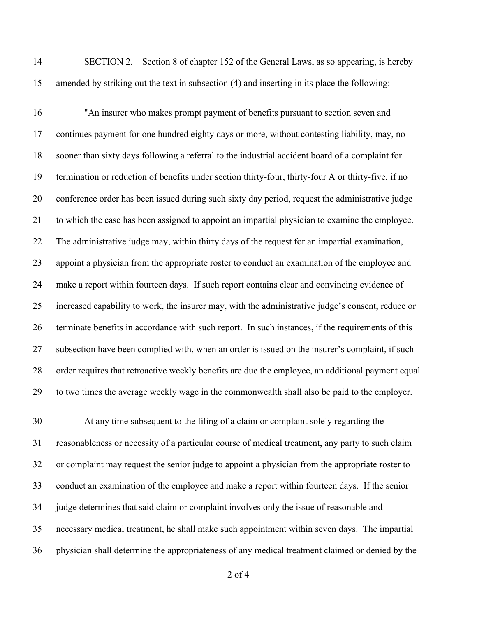SECTION 2. Section 8 of chapter 152 of the General Laws, as so appearing, is hereby amended by striking out the text in subsection (4) and inserting in its place the following:--

 "An insurer who makes prompt payment of benefits pursuant to section seven and continues payment for one hundred eighty days or more, without contesting liability, may, no sooner than sixty days following a referral to the industrial accident board of a complaint for termination or reduction of benefits under section thirty-four, thirty-four A or thirty-five, if no conference order has been issued during such sixty day period, request the administrative judge to which the case has been assigned to appoint an impartial physician to examine the employee. The administrative judge may, within thirty days of the request for an impartial examination, appoint a physician from the appropriate roster to conduct an examination of the employee and make a report within fourteen days. If such report contains clear and convincing evidence of increased capability to work, the insurer may, with the administrative judge's consent, reduce or terminate benefits in accordance with such report. In such instances, if the requirements of this subsection have been complied with, when an order is issued on the insurer's complaint, if such order requires that retroactive weekly benefits are due the employee, an additional payment equal to two times the average weekly wage in the commonwealth shall also be paid to the employer.

 At any time subsequent to the filing of a claim or complaint solely regarding the reasonableness or necessity of a particular course of medical treatment, any party to such claim or complaint may request the senior judge to appoint a physician from the appropriate roster to conduct an examination of the employee and make a report within fourteen days. If the senior judge determines that said claim or complaint involves only the issue of reasonable and necessary medical treatment, he shall make such appointment within seven days. The impartial physician shall determine the appropriateness of any medical treatment claimed or denied by the

of 4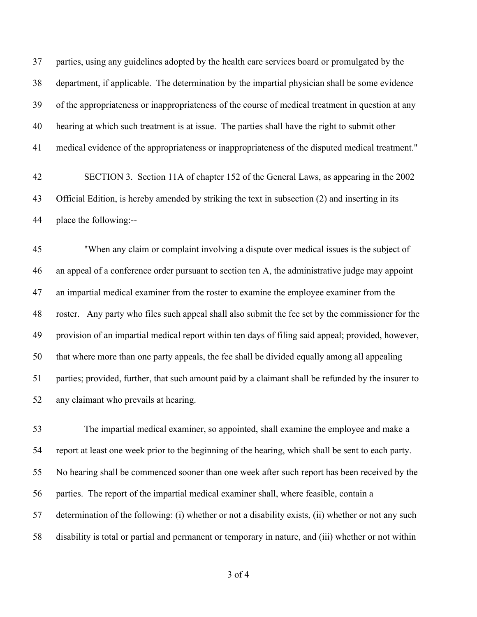parties, using any guidelines adopted by the health care services board or promulgated by the department, if applicable. The determination by the impartial physician shall be some evidence of the appropriateness or inappropriateness of the course of medical treatment in question at any hearing at which such treatment is at issue. The parties shall have the right to submit other medical evidence of the appropriateness or inappropriateness of the disputed medical treatment."

 SECTION 3. Section 11A of chapter 152 of the General Laws, as appearing in the 2002 Official Edition, is hereby amended by striking the text in subsection (2) and inserting in its place the following:--

 "When any claim or complaint involving a dispute over medical issues is the subject of an appeal of a conference order pursuant to section ten A, the administrative judge may appoint an impartial medical examiner from the roster to examine the employee examiner from the roster. Any party who files such appeal shall also submit the fee set by the commissioner for the provision of an impartial medical report within ten days of filing said appeal; provided, however, that where more than one party appeals, the fee shall be divided equally among all appealing parties; provided, further, that such amount paid by a claimant shall be refunded by the insurer to any claimant who prevails at hearing.

 The impartial medical examiner, so appointed, shall examine the employee and make a report at least one week prior to the beginning of the hearing, which shall be sent to each party. No hearing shall be commenced sooner than one week after such report has been received by the parties. The report of the impartial medical examiner shall, where feasible, contain a determination of the following: (i) whether or not a disability exists, (ii) whether or not any such disability is total or partial and permanent or temporary in nature, and (iii) whether or not within

of 4